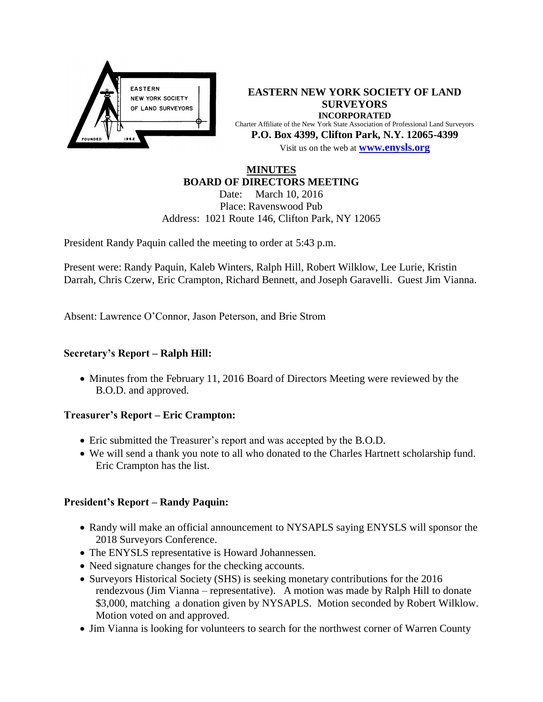

**EASTERN NEW YORK SOCIETY OF LAND SURVEYORS INCORPORATED** Charter Affiliate of the New York State Association of Professional Land Surveyors **P.O. Box 4399, Clifton Park, N.Y. 12065-4399** Visit us on the web at **[www.e](http://www.enysls.org/)nysls.org**

# **MINUTES BOARD OF DIRECTORS MEETING**

Date: March 10, 2016 Place: Ravenswood Pub Address: 1021 Route 146, Clifton Park, NY 12065

President Randy Paquin called the meeting to order at 5:43 p.m.

Present were: Randy Paquin, Kaleb Winters, Ralph Hill, Robert Wilklow, Lee Lurie, Kristin Darrah, Chris Czerw, Eric Crampton, Richard Bennett, and Joseph Garavelli. Guest Jim Vianna.

Absent: Lawrence O'Connor, Jason Peterson, and Brie Strom

## **Secretary's Report – Ralph Hill:**

• Minutes from the February 11, 2016 Board of Directors Meeting were reviewed by the B.O.D. and approved.

## **Treasurer's Report – Eric Crampton:**

- Eric submitted the Treasurer's report and was accepted by the B.O.D.
- We will send a thank you note to all who donated to the Charles Hartnett scholarship fund. Eric Crampton has the list.

## **President's Report – Randy Paquin:**

- Randy will make an official announcement to NYSAPLS saying ENYSLS will sponsor the 2018 Surveyors Conference.
- The ENYSLS representative is Howard Johannessen.
- Need signature changes for the checking accounts.
- Surveyors Historical Society (SHS) is seeking monetary contributions for the 2016 rendezvous (Jim Vianna – representative). A motion was made by Ralph Hill to donate \$3,000, matching a donation given by NYSAPLS. Motion seconded by Robert Wilklow. Motion voted on and approved.
- Jim Vianna is looking for volunteers to search for the northwest corner of Warren County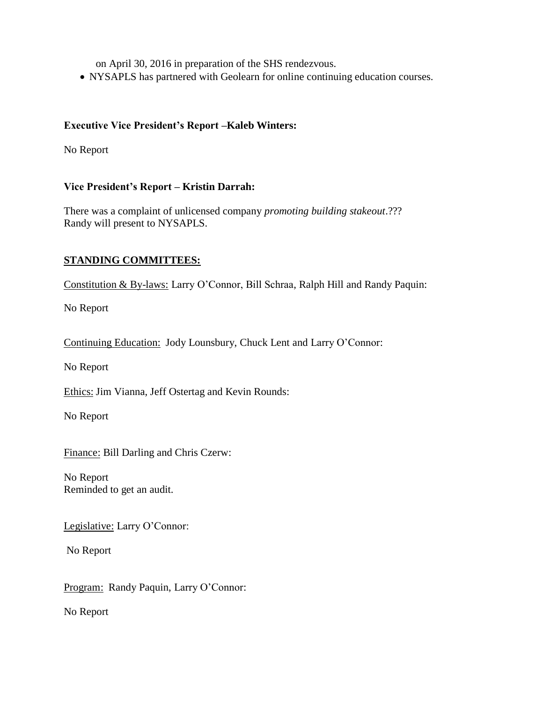on April 30, 2016 in preparation of the SHS rendezvous.

NYSAPLS has partnered with Geolearn for online continuing education courses.

## **Executive Vice President's Report –Kaleb Winters:**

No Report

## **Vice President's Report – Kristin Darrah:**

There was a complaint of unlicensed company *promoting building stakeout*.??? Randy will present to NYSAPLS.

## **STANDING COMMITTEES:**

Constitution & By-laws: Larry O'Connor, Bill Schraa, Ralph Hill and Randy Paquin:

No Report

Continuing Education: Jody Lounsbury, Chuck Lent and Larry O'Connor:

No Report

Ethics: Jim Vianna, Jeff Ostertag and Kevin Rounds:

No Report

Finance: Bill Darling and Chris Czerw:

No Report Reminded to get an audit.

Legislative: Larry O'Connor:

No Report

Program: Randy Paquin, Larry O'Connor:

No Report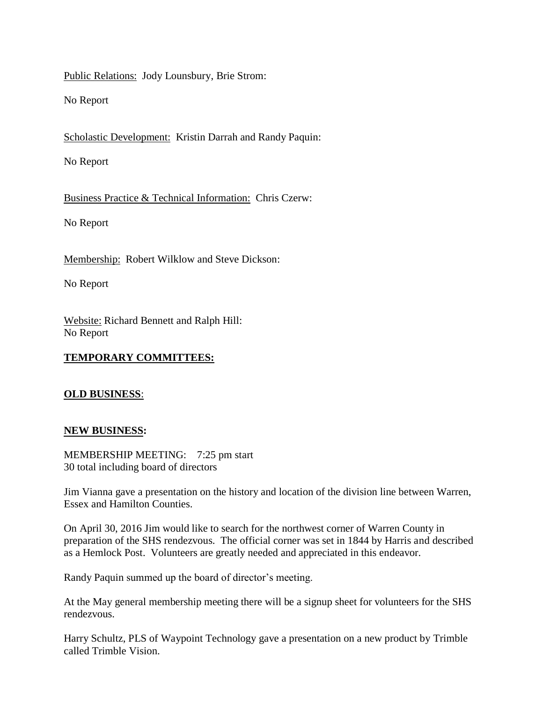Public Relations: Jody Lounsbury, Brie Strom:

No Report

Scholastic Development: Kristin Darrah and Randy Paquin:

No Report

Business Practice & Technical Information: Chris Czerw:

No Report

Membership: Robert Wilklow and Steve Dickson:

No Report

Website: Richard Bennett and Ralph Hill: No Report

## **TEMPORARY COMMITTEES:**

### **OLD BUSINESS**:

### **NEW BUSINESS:**

MEMBERSHIP MEETING: 7:25 pm start 30 total including board of directors

Jim Vianna gave a presentation on the history and location of the division line between Warren, Essex and Hamilton Counties.

On April 30, 2016 Jim would like to search for the northwest corner of Warren County in preparation of the SHS rendezvous. The official corner was set in 1844 by Harris and described as a Hemlock Post. Volunteers are greatly needed and appreciated in this endeavor.

Randy Paquin summed up the board of director's meeting.

At the May general membership meeting there will be a signup sheet for volunteers for the SHS rendezvous.

Harry Schultz, PLS of Waypoint Technology gave a presentation on a new product by Trimble called Trimble Vision.